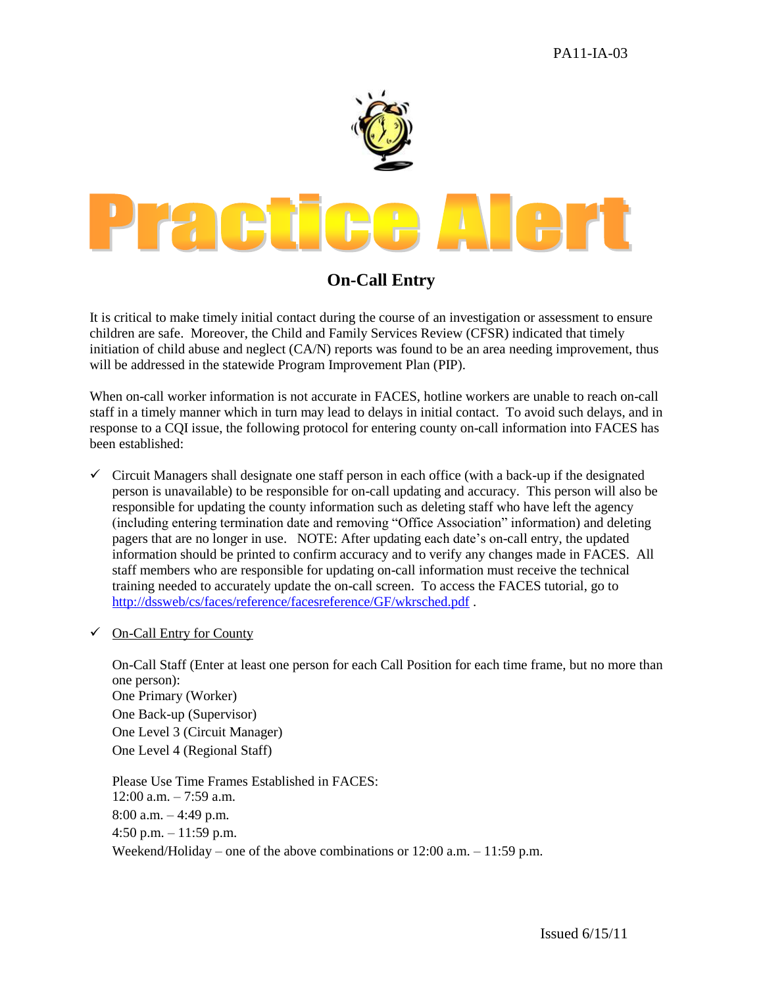

## **On-Call Entry**

It is critical to make timely initial contact during the course of an investigation or assessment to ensure children are safe. Moreover, the Child and Family Services Review (CFSR) indicated that timely initiation of child abuse and neglect (CA/N) reports was found to be an area needing improvement, thus will be addressed in the statewide Program Improvement Plan (PIP).

When on-call worker information is not accurate in FACES, hotline workers are unable to reach on-call staff in a timely manner which in turn may lead to delays in initial contact. To avoid such delays, and in response to a CQI issue, the following protocol for entering county on-call information into FACES has been established:

- $\checkmark$  Circuit Managers shall designate one staff person in each office (with a back-up if the designated person is unavailable) to be responsible for on-call updating and accuracy. This person will also be responsible for updating the county information such as deleting staff who have left the agency (including entering termination date and removing "Office Association" information) and deleting pagers that are no longer in use. NOTE: After updating each date's on-call entry, the updated information should be printed to confirm accuracy and to verify any changes made in FACES. All staff members who are responsible for updating on-call information must receive the technical training needed to accurately update the on-call screen. To access the FACES tutorial, go to <http://dssweb/cs/faces/reference/facesreference/GF/wkrsched.pdf> .
- $\checkmark$  On-Call Entry for County

On-Call Staff (Enter at least one person for each Call Position for each time frame, but no more than one person): One Primary (Worker) One Back-up (Supervisor) One Level 3 (Circuit Manager) One Level 4 (Regional Staff)

Please Use Time Frames Established in FACES:  $12:00$  a.m.  $-7:59$  a.m. 8:00 a.m. – 4:49 p.m. 4:50 p.m. – 11:59 p.m. Weekend/Holiday – one of the above combinations or 12:00 a.m. – 11:59 p.m.